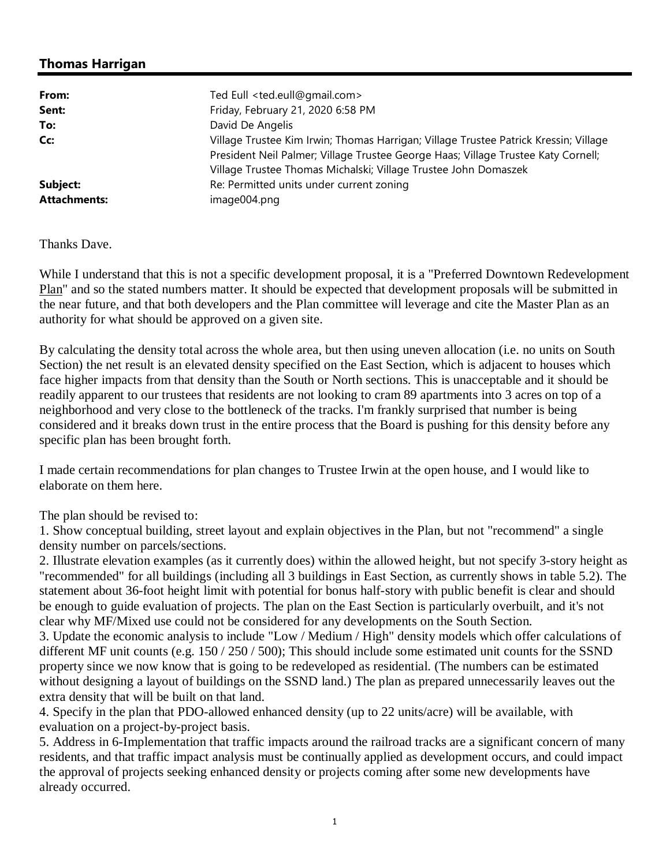## **Thomas Harrigan**

| From:               | Ted Eull <ted.eull@gmail.com></ted.eull@gmail.com>                                   |  |  |  |  |  |
|---------------------|--------------------------------------------------------------------------------------|--|--|--|--|--|
| Sent:               | Friday, February 21, 2020 6:58 PM                                                    |  |  |  |  |  |
| To:                 | David De Angelis                                                                     |  |  |  |  |  |
| Cc:                 | Village Trustee Kim Irwin; Thomas Harrigan; Village Trustee Patrick Kressin; Village |  |  |  |  |  |
|                     | President Neil Palmer; Village Trustee George Haas; Village Trustee Katy Cornell;    |  |  |  |  |  |
|                     | Village Trustee Thomas Michalski; Village Trustee John Domaszek                      |  |  |  |  |  |
| Subject:            | Re: Permitted units under current zoning                                             |  |  |  |  |  |
| <b>Attachments:</b> | image004.png                                                                         |  |  |  |  |  |

## Thanks Dave.

While I understand that this is not a specific development proposal, it is a "Preferred Downtown Redevelopment Plan" and so the stated numbers matter. It should be expected that development proposals will be submitted in the near future, and that both developers and the Plan committee will leverage and cite the Master Plan as an authority for what should be approved on a given site.

By calculating the density total across the whole area, but then using uneven allocation (i.e. no units on South Section) the net result is an elevated density specified on the East Section, which is adjacent to houses which face higher impacts from that density than the South or North sections. This is unacceptable and it should be readily apparent to our trustees that residents are not looking to cram 89 apartments into 3 acres on top of a neighborhood and very close to the bottleneck of the tracks. I'm frankly surprised that number is being considered and it breaks down trust in the entire process that the Board is pushing for this density before any specific plan has been brought forth.

I made certain recommendations for plan changes to Trustee Irwin at the open house, and I would like to elaborate on them here.

The plan should be revised to:

1. Show conceptual building, street layout and explain objectives in the Plan, but not "recommend" a single density number on parcels/sections.

2. Illustrate elevation examples (as it currently does) within the allowed height, but not specify 3-story height as "recommended" for all buildings (including all 3 buildings in East Section, as currently shows in table 5.2). The statement about 36-foot height limit with potential for bonus half-story with public benefit is clear and should be enough to guide evaluation of projects. The plan on the East Section is particularly overbuilt, and it's not clear why MF/Mixed use could not be considered for any developments on the South Section.

3. Update the economic analysis to include "Low / Medium / High" density models which offer calculations of different MF unit counts (e.g. 150 / 250 / 500); This should include some estimated unit counts for the SSND property since we now know that is going to be redeveloped as residential. (The numbers can be estimated without designing a layout of buildings on the SSND land.) The plan as prepared unnecessarily leaves out the extra density that will be built on that land.

4. Specify in the plan that PDO-allowed enhanced density (up to 22 units/acre) will be available, with evaluation on a project-by-project basis.

5. Address in 6-Implementation that traffic impacts around the railroad tracks are a significant concern of many residents, and that traffic impact analysis must be continually applied as development occurs, and could impact the approval of projects seeking enhanced density or projects coming after some new developments have already occurred.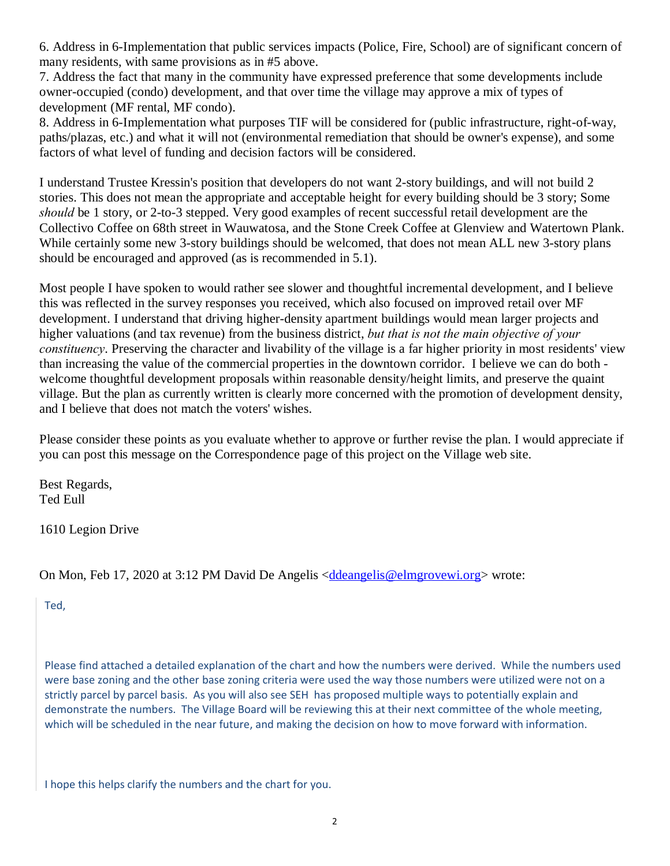6. Address in 6-Implementation that public services impacts (Police, Fire, School) are of significant concern of many residents, with same provisions as in #5 above.

7. Address the fact that many in the community have expressed preference that some developments include owner-occupied (condo) development, and that over time the village may approve a mix of types of development (MF rental, MF condo).

8. Address in 6-Implementation what purposes TIF will be considered for (public infrastructure, right-of-way, paths/plazas, etc.) and what it will not (environmental remediation that should be owner's expense), and some factors of what level of funding and decision factors will be considered.

I understand Trustee Kressin's position that developers do not want 2-story buildings, and will not build 2 stories. This does not mean the appropriate and acceptable height for every building should be 3 story; Some *should* be 1 story, or 2-to-3 stepped. Very good examples of recent successful retail development are the Collectivo Coffee on 68th street in Wauwatosa, and the Stone Creek Coffee at Glenview and Watertown Plank. While certainly some new 3-story buildings should be welcomed, that does not mean ALL new 3-story plans should be encouraged and approved (as is recommended in 5.1).

Most people I have spoken to would rather see slower and thoughtful incremental development, and I believe this was reflected in the survey responses you received, which also focused on improved retail over MF development. I understand that driving higher-density apartment buildings would mean larger projects and higher valuations (and tax revenue) from the business district, *but that is not the main objective of your constituency*. Preserving the character and livability of the village is a far higher priority in most residents' view than increasing the value of the commercial properties in the downtown corridor. I believe we can do both welcome thoughtful development proposals within reasonable density/height limits, and preserve the quaint village. But the plan as currently written is clearly more concerned with the promotion of development density, and I believe that does not match the voters' wishes.

Please consider these points as you evaluate whether to approve or further revise the plan. I would appreciate if you can post this message on the Correspondence page of this project on the Village web site.

Best Regards, Ted Eull

1610 Legion Drive

## On Mon, Feb 17, 2020 at 3:12 PM David De Angelis <ddeangelis@elmgrovewi.org> wrote:

Ted,

Please find attached a detailed explanation of the chart and how the numbers were derived. While the numbers used were base zoning and the other base zoning criteria were used the way those numbers were utilized were not on a strictly parcel by parcel basis. As you will also see SEH has proposed multiple ways to potentially explain and demonstrate the numbers. The Village Board will be reviewing this at their next committee of the whole meeting, which will be scheduled in the near future, and making the decision on how to move forward with information.

I hope this helps clarify the numbers and the chart for you.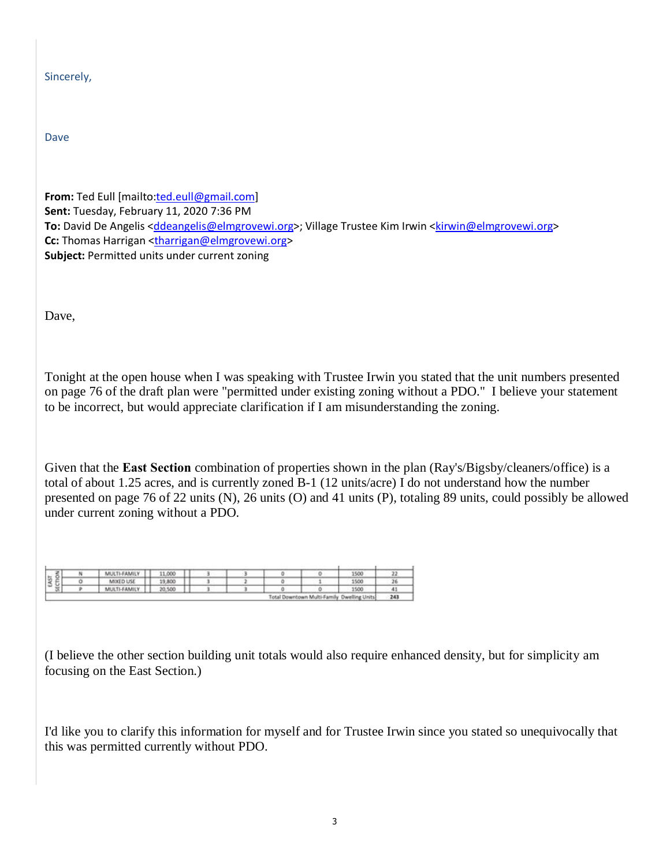| Sincerely, |
|------------|
|------------|

Dave

**From:** Ted Eull [mailto:ted.eull@gmail.com] **Sent:** Tuesday, February 11, 2020 7:36 PM **To:** David De Angelis <ddeangelis@elmgrovewi.org>; Village Trustee Kim Irwin <kirwin@elmgrovewi.org> **Cc:** Thomas Harrigan <tharrigan@elmgrovewi.org> **Subject:** Permitted units under current zoning

Dave,

Tonight at the open house when I was speaking with Trustee Irwin you stated that the unit numbers presented on page 76 of the draft plan were "permitted under existing zoning without a PDO." I believe your statement to be incorrect, but would appreciate clarification if I am misunderstanding the zoning.

Given that the **East Section** combination of properties shown in the plan (Ray's/Bigsby/cleaners/office) is a total of about 1.25 acres, and is currently zoned B-1 (12 units/acre) I do not understand how the number presented on page 76 of 22 units (N), 26 units (O) and 41 units (P), totaling 89 units, could possibly be allowed under current zoning without a PDO.

|                                |  | MULTI-FAMIL  | 11,000 |  |  |  |  | 1500 |    |
|--------------------------------|--|--------------|--------|--|--|--|--|------|----|
| 112<br>u<br>13                 |  | MIXED USE    | 19,800 |  |  |  |  | 1500 |    |
| ÷                              |  | MULTI-FAMILY | 20,500 |  |  |  |  | 1500 | 41 |
| Total Downtown Multi-I.<br>Dwe |  |              |        |  |  |  |  |      | 24 |

(I believe the other section building unit totals would also require enhanced density, but for simplicity am focusing on the East Section.)

I'd like you to clarify this information for myself and for Trustee Irwin since you stated so unequivocally that this was permitted currently without PDO.